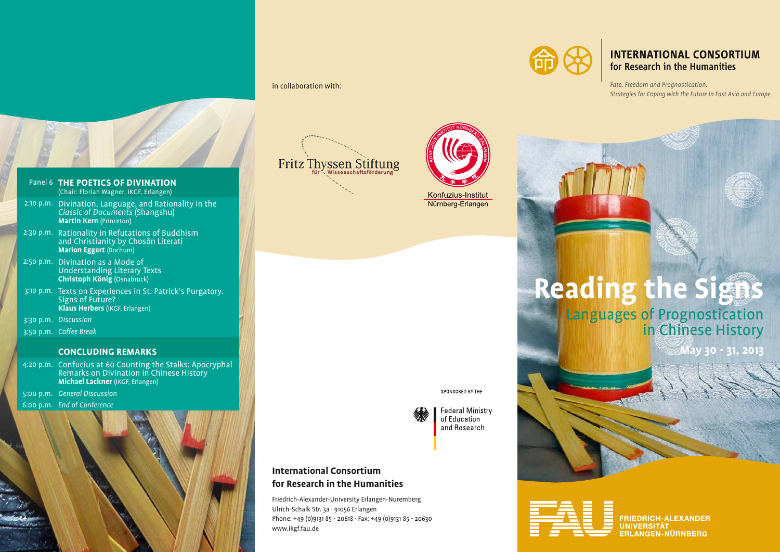## in collaboration with:



# **INTERNATIONAL CONSORTIUM** for Research in the Humanities

*Fate, Freedom and Prognostication. Strategies for Coping with the Future in East Asia and Europe*

### Panel 6 **THE POETICS OF DIVINATION**  (Chair: Florian Wagner, IKGF, Erlangen) 2:10 p.m. Divination, Language, and Rationality in the *Classic of Documents* (Shangshu) **Martin Kern** (Princeton) 2:30 p.m. Rationality in Refutations of Buddhism and Christianity by Chosôn Literati **Marion Eggert** (Bochum) 2:50 p.m. Divination as a Mode of Understanding Literary Texts **Christoph König** (Osnabrück) 3:10 p.m. Texts on Experiences in St. Patrick's Purgatory. Signs of Future? **Klaus Herbers** (IKGF, Erlangen)

3:30 p.m. *Discussion*

3:50 p.m. *Coffee Break*

### **CONCLUDING REMARKS**

- 4:20 p.m. Confucius at 60 Counting the Stalks: Apocryphal Remarks on Divination in Chinese History **Michael Lackner** (IKGF, Erlangen)
- 5:00 p.m. *General Discussion*
- 6:00 p.m. *End of Conference*



# Fritz Thyssen Stiftung



Nürnberg-Erlangen

#### SPONSORED BY THE



**Federal Ministry** of Education and Research

# **International Consortium for Research in the Humanities**

Friedrich-Alexander-University Erlangen-Nuremberg Ulrich-Schalk Str. 3a · 91056 Erlangen Phone: +49 (0)9131 85 - 20618 · Fax: +49 (0)9131 85 - 20630 www.ikgf.fau.de

**Reading the Signs**

Languages of Prognostication in Chinese History

**May 30 - 31, 2013**